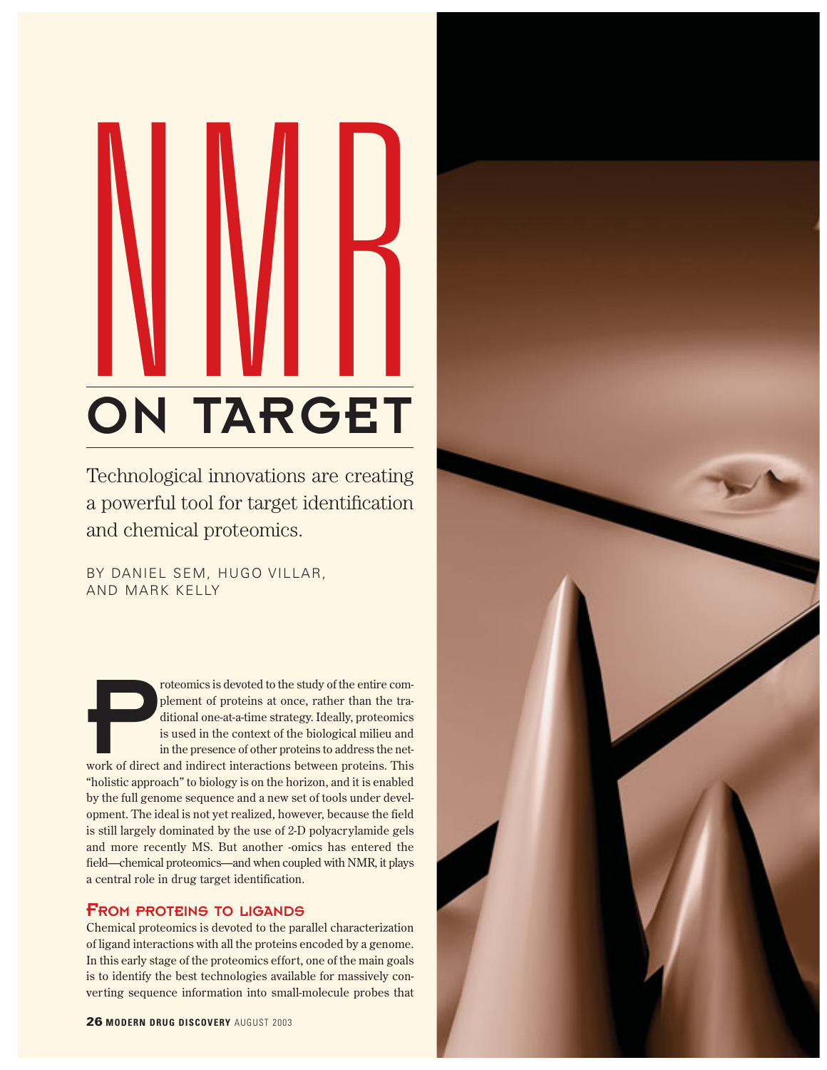# NMR<br>NMR ON TARGET

Technological innovations are creating a powerful tool for target identification and chemical proteomics.

BY DANIEL SEM, HUGO VILLAR, AND MARK KELLY

Proteomics is devoted to the study of the entire com-<br>plement of proteins at once, rather than the tra-<br>ditional one-at-a-time strategy. Ideally, proteomics<br>is used in the context of the biological milieu and<br>in the presen plement of proteins at once, rather than the traditional one-at-a-time strategy. Ideally, proteomics is used in the context of the biological milieu and in the presence of other proteins to address the net-"holistic approach" to biology is on the horizon, and it is enabled by the full genome sequence and a new set of tools under development. The ideal is not yet realized, however, because the field is still largely dominated by the use of 2-D polyacrylamide gels and more recently MS. But another -omics has entered the field—chemical proteomics—and when coupled with NMR, it plays a central role in drug target identification.

# FROM PROTEINS TO LIGANDS

Chemical proteomics is devoted to the parallel characterization of ligand interactions with all the proteins encoded by a genome. In this early stage of the proteomics effort, one of the main goals is to identify the best technologies available for massively converting sequence information into small-molecule probes that

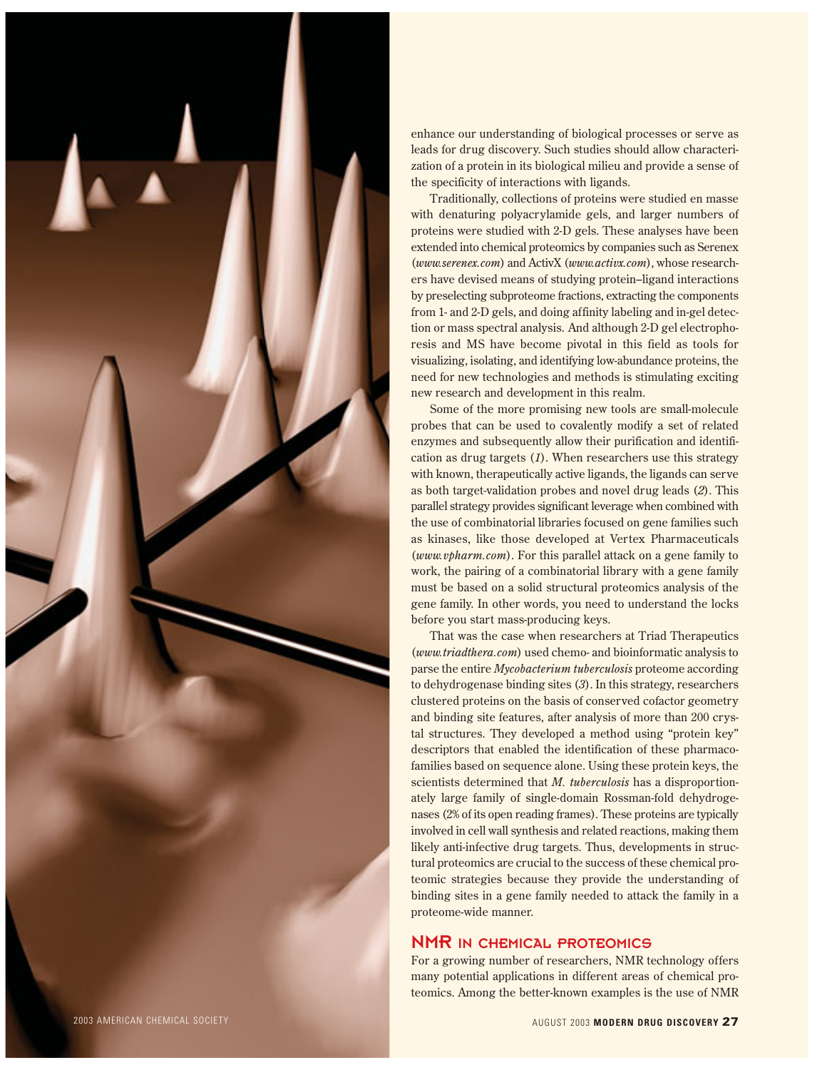

enhance our understanding of biological processes or serve as leads for drug discovery. Such studies should allow characterization of a protein in its biological milieu and provide a sense of the specificity of interactions with ligands.

Traditionally, collections of proteins were studied en masse with denaturing polyacrylamide gels, and larger numbers of proteins were studied with 2-D gels. These analyses have been extended into chemical proteomics by companies such as Serenex (*www.serenex.com*) and ActivX (*www.activx.com*), whose researchers have devised means of studying protein–ligand interactions by preselecting subproteome fractions, extracting the components from 1- and 2-D gels, and doing affinity labeling and in-gel detection or mass spectral analysis. And although 2-D gel electrophoresis and MS have become pivotal in this field as tools for visualizing, isolating, and identifying low-abundance proteins, the need for new technologies and methods is stimulating exciting new research and development in this realm.

Some of the more promising new tools are small-molecule probes that can be used to covalently modify a set of related enzymes and subsequently allow their purification and identification as drug targets (*1*). When researchers use this strategy with known, therapeutically active ligands, the ligands can serve as both target-validation probes and novel drug leads (*2*). This parallel strategy provides significant leverage when combined with the use of combinatorial libraries focused on gene families such as kinases, like those developed at Vertex Pharmaceuticals (*www.vpharm.com*). For this parallel attack on a gene family to work, the pairing of a combinatorial library with a gene family must be based on a solid structural proteomics analysis of the gene family. In other words, you need to understand the locks before you start mass-producing keys.

That was the case when researchers at Triad Therapeutics (*www.triadthera.com*) used chemo- and bioinformatic analysis to parse the entire *Mycobacterium tuberculosis* proteome according to dehydrogenase binding sites (*3*). In this strategy, researchers clustered proteins on the basis of conserved cofactor geometry and binding site features, after analysis of more than 200 crystal structures. They developed a method using "protein key" descriptors that enabled the identification of these pharmacofamilies based on sequence alone. Using these protein keys, the scientists determined that *M. tuberculosis* has a disproportionately large family of single-domain Rossman-fold dehydrogenases (2% of its open reading frames). These proteins are typically involved in cell wall synthesis and related reactions, making them likely anti-infective drug targets. Thus, developments in structural proteomics are crucial to the success of these chemical proteomic strategies because they provide the understanding of binding sites in a gene family needed to attack the family in a proteome-wide manner.

# NMR IN CHEMICAL PROTEOMICS

For a growing number of researchers, NMR technology offers many potential applications in different areas of chemical proteomics. Among the better-known examples is the use of NMR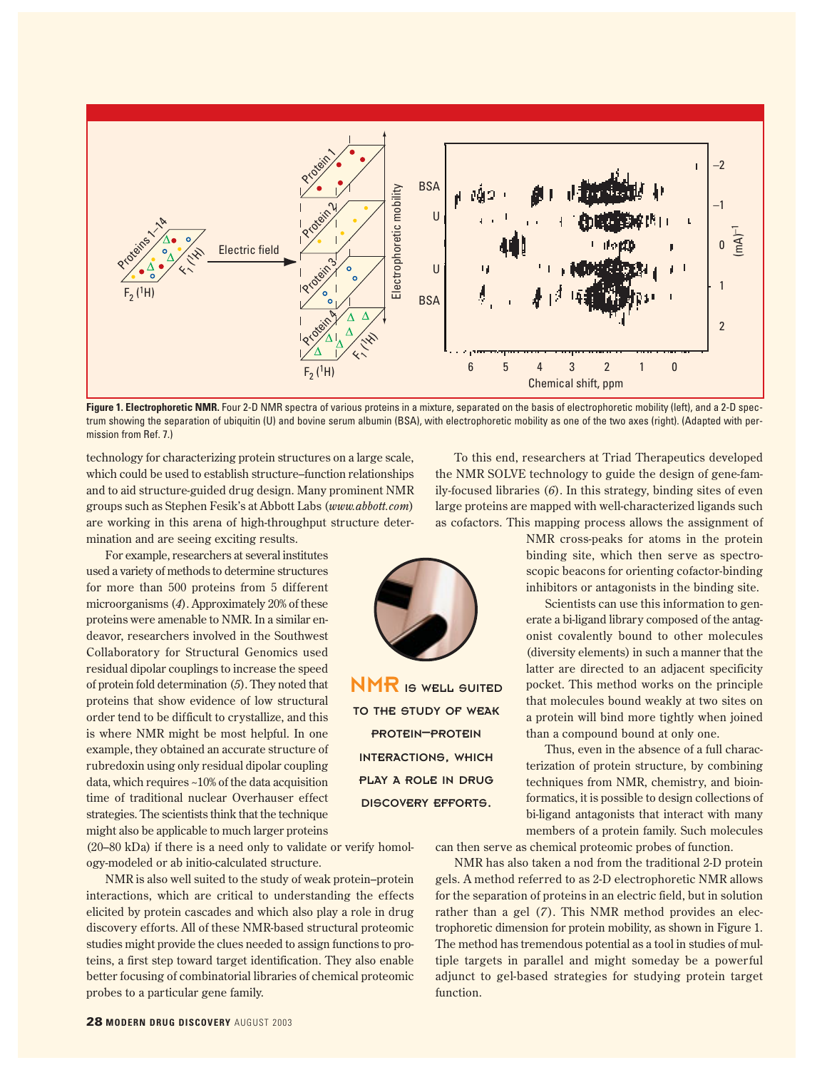

Figure 1. Electrophoretic NMR. Four 2-D NMR spectra of various proteins in a mixture, separated on the basis of electrophoretic mobility (left), and a 2-D spectrum showing the separation of ubiquitin (U) and bovine serum albumin (BSA), with electrophoretic mobility as one of the two axes (right). (Adapted with permission from Ref. 7.)

technology for characterizing protein structures on a large scale, which could be used to establish structure–function relationships and to aid structure-guided drug design. Many prominent NMR groups such as Stephen Fesik's at Abbott Labs (*www.abbott.com*) are working in this arena of high-throughput structure determination and are seeing exciting results.

For example, researchers at several institutes used a variety of methods to determine structures for more than 500 proteins from 5 different microorganisms (*4*). Approximately 20% of these proteins were amenable to NMR. In a similar endeavor, researchers involved in the Southwest Collaboratory for Structural Genomics used residual dipolar couplings to increase the speed of protein fold determination (*5*). They noted that proteins that show evidence of low structural order tend to be difficult to crystallize, and this is where NMR might be most helpful. In one example, they obtained an accurate structure of rubredoxin using only residual dipolar coupling data, which requires ~10% of the data acquisition time of traditional nuclear Overhauser effect strategies. The scientists think that the technique might also be applicable to much larger proteins

(20–80 kDa) if there is a need only to validate or verify homology-modeled or ab initio-calculated structure.

NMR is also well suited to the study of weak protein–protein interactions, which are critical to understanding the effects elicited by protein cascades and which also play a role in drug discovery efforts. All of these NMR-based structural proteomic studies might provide the clues needed to assign functions to proteins, a first step toward target identification. They also enable better focusing of combinatorial libraries of chemical proteomic probes to a particular gene family.

To this end, researchers at Triad Therapeutics developed the NMR SOLVE technology to guide the design of gene-family-focused libraries (*6*). In this strategy, binding sites of even large proteins are mapped with well-characterized ligands such as cofactors. This mapping process allows the assignment of

> NMR cross-peaks for atoms in the protein binding site, which then serve as spectroscopic beacons for orienting cofactor-binding inhibitors or antagonists in the binding site.

> Scientists can use this information to generate a bi-ligand library composed of the antagonist covalently bound to other molecules (diversity elements) in such a manner that the latter are directed to an adjacent specificity pocket. This method works on the principle that molecules bound weakly at two sites on a protein will bind more tightly when joined than a compound bound at only one.

> Thus, even in the absence of a full characterization of protein structure, by combining techniques from NMR, chemistry, and bioinformatics, it is possible to design collections of bi-ligand antagonists that interact with many members of a protein family. Such molecules

can then serve as chemical proteomic probes of function.

NMR has also taken a nod from the traditional 2-D protein gels. A method referred to as 2-D electrophoretic NMR allows for the separation of proteins in an electric field, but in solution rather than a gel (*7*). This NMR method provides an electrophoretic dimension for protein mobility, as shown in Figure 1. The method has tremendous potential as a tool in studies of multiple targets in parallel and might someday be a powerful adjunct to gel-based strategies for studying protein target function.



NMR IS WELL SUITED TO THE STUDY OF WEAK PROTEIN–PROTEIN INTERACTIONS, WHICH PLAY A ROLE IN DRUG DISCOVERY EFFORTS.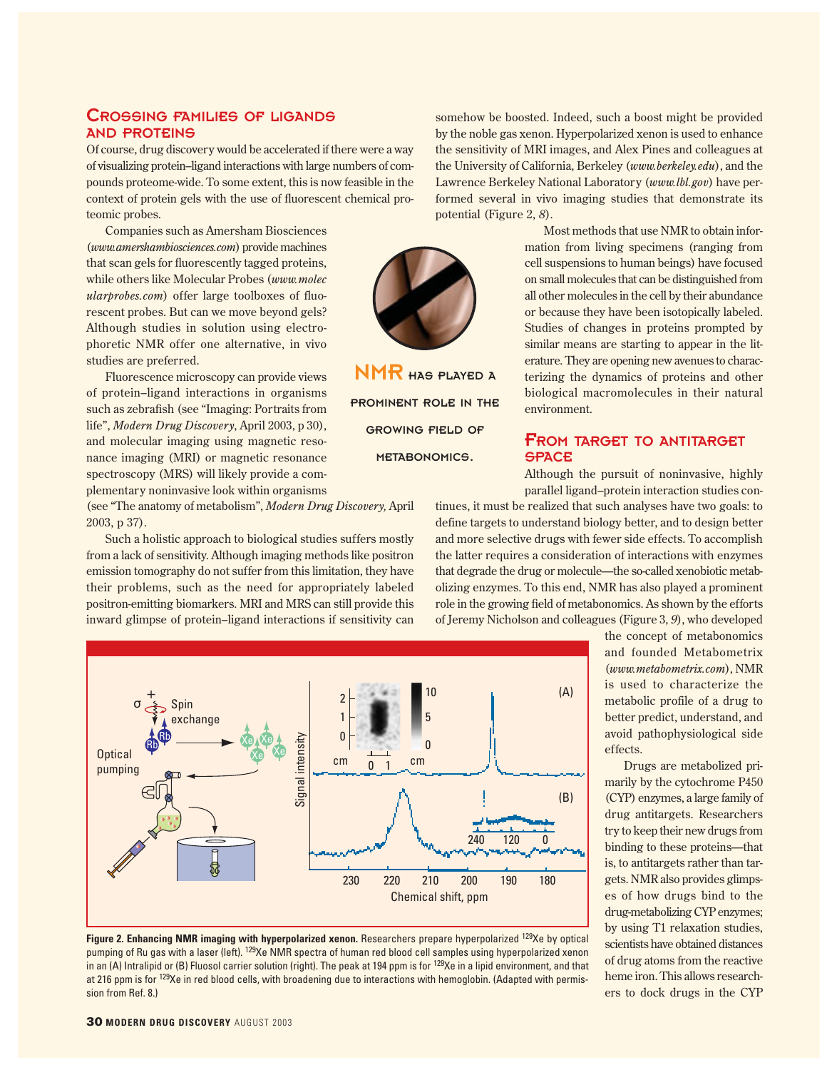## CROSSING FAMILIES OF LIGANDS AND PROTEINS

Of course, drug discovery would be accelerated if there were a way of visualizing protein–ligand interactions with large numbers of compounds proteome-wide. To some extent, this is now feasible in the context of protein gels with the use of fluorescent chemical proteomic probes.

Companies such as Amersham Biosciences (*www.amershambiosciences.com*) provide machines that scan gels for fluorescently tagged proteins, while others like Molecular Probes (*www.molec ularprobes.com*) offer large toolboxes of fluorescent probes. But can we move beyond gels? Although studies in solution using electrophoretic NMR offer one alternative, in vivo studies are preferred.

Fluorescence microscopy can provide views of protein–ligand interactions in organisms such as zebrafish (see "Imaging: Portraits from life", *Modern Drug Discovery*, April 2003, p 30), and molecular imaging using magnetic resonance imaging (MRI) or magnetic resonance spectroscopy (MRS) will likely provide a complementary noninvasive look within organisms

(see "The anatomy of metabolism", *Modern Drug Discovery,* April 2003, p 37).

Such a holistic approach to biological studies suffers mostly from a lack of sensitivity. Although imaging methods like positron emission tomography do not suffer from this limitation, they have their problems, such as the need for appropriately labeled positron-emitting biomarkers. MRI and MRS can still provide this inward glimpse of protein–ligand interactions if sensitivity can

NMR HAS PLAYED A PROMINENT ROLE IN THE GROWING FIELD OF METABONOMICS.

somehow be boosted. Indeed, such a boost might be provided by the noble gas xenon. Hyperpolarized xenon is used to enhance the sensitivity of MRI images, and Alex Pines and colleagues at the University of California, Berkeley (*www.berkeley.edu*), and the Lawrence Berkeley National Laboratory (*www.lbl.gov*) have performed several in vivo imaging studies that demonstrate its potential (Figure 2, *8*).

> Most methods that use NMR to obtain information from living specimens (ranging from cell suspensions to human beings) have focused on small molecules that can be distinguished from all other molecules in the cell by their abundance or because they have been isotopically labeled. Studies of changes in proteins prompted by similar means are starting to appear in the literature. They are opening new avenues to characterizing the dynamics of proteins and other biological macromolecules in their natural environment.

# FROM TARGET TO ANTITARGET **SPACE**

Although the pursuit of noninvasive, highly parallel ligand–protein interaction studies con-

tinues, it must be realized that such analyses have two goals: to define targets to understand biology better, and to design better and more selective drugs with fewer side effects. To accomplish the latter requires a consideration of interactions with enzymes that degrade the drug or molecule—the so-called xenobiotic metabolizing enzymes. To this end, NMR has also played a prominent role in the growing field of metabonomics. As shown by the efforts of Jeremy Nicholson and colleagues (Figure 3, *9*), who developed



Figure 2. Enhancing NMR imaging with hyperpolarized xenon. Researchers prepare hyperpolarized <sup>129</sup>Xe by optical pumping of Ru gas with a laser (left). <sup>129</sup>Xe NMR spectra of human red blood cell samples using hyperpolarized xenon in an (A) Intralipid or (B) Fluosol carrier solution (right). The peak at 194 ppm is for <sup>129</sup>Xe in a lipid environment, and that at 216 ppm is for 129Xe in red blood cells, with broadening due to interactions with hemoglobin. (Adapted with permission from Ref. 8.)

the concept of metabonomics and founded Metabometrix (*www.metabometrix.com*), NMR is used to characterize the metabolic profile of a drug to better predict, understand, and avoid pathophysiological side effects.

Drugs are metabolized primarily by the cytochrome P450 (CYP) enzymes, a large family of drug antitargets. Researchers try to keep their new drugs from binding to these proteins—that is, to antitargets rather than targets. NMR also provides glimpses of how drugs bind to the drug-metabolizing CYP enzymes; by using T1 relaxation studies, scientists have obtained distances of drug atoms from the reactive heme iron. This allows researchers to dock drugs in the CYP